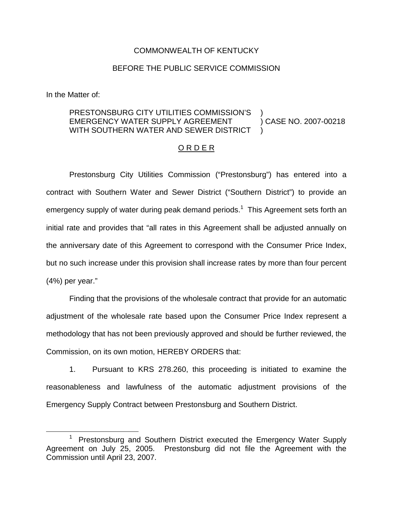### COMMONWEALTH OF KENTUCKY

## BEFORE THE PUBLIC SERVICE COMMISSION

In the Matter of:

#### PRESTONSBURG CITY UTILITIES COMMISSION'S EMERGENCY WATER SUPPLY AGREEMENT WITH SOUTHERN WATER AND SEWER DISTRICT ) ) CASE NO. 2007-00218 )

# O R D E R

Prestonsburg City Utilities Commission ("Prestonsburg") has entered into a contract with Southern Water and Sewer District ("Southern District") to provide an emergency supply of water during peak demand periods.<sup>1</sup> This Agreement sets forth an initial rate and provides that "all rates in this Agreement shall be adjusted annually on the anniversary date of this Agreement to correspond with the Consumer Price Index, but no such increase under this provision shall increase rates by more than four percent (4%) per year."

Finding that the provisions of the wholesale contract that provide for an automatic adjustment of the wholesale rate based upon the Consumer Price Index represent a methodology that has not been previously approved and should be further reviewed, the Commission, on its own motion, HEREBY ORDERS that:

1. Pursuant to KRS 278.260, this proceeding is initiated to examine the reasonableness and lawfulness of the automatic adjustment provisions of the Emergency Supply Contract between Prestonsburg and Southern District.

<sup>1</sup> Prestonsburg and Southern District executed the Emergency Water Supply Agreement on July 25, 2005. Prestonsburg did not file the Agreement with the Commission until April 23, 2007.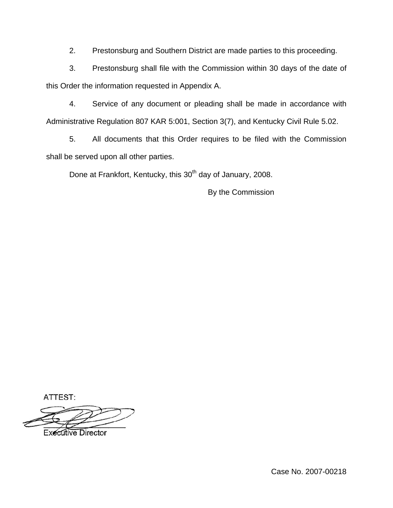2. Prestonsburg and Southern District are made parties to this proceeding.

3. Prestonsburg shall file with the Commission within 30 days of the date of this Order the information requested in Appendix A.

4. Service of any document or pleading shall be made in accordance with Administrative Regulation 807 KAR 5:001, Section 3(7), and Kentucky Civil Rule 5.02.

5. All documents that this Order requires to be filed with the Commission shall be served upon all other parties.

Done at Frankfort, Kentucky, this 30<sup>th</sup> day of January, 2008.

By the Commission

ATTEST:

**Executive Director** 

Case No. 2007-00218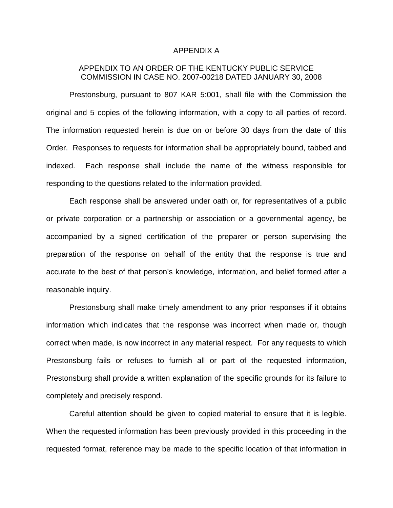#### APPENDIX A

# APPENDIX TO AN ORDER OF THE KENTUCKY PUBLIC SERVICE COMMISSION IN CASE NO. 2007-00218 DATED JANUARY 30, 2008

Prestonsburg, pursuant to 807 KAR 5:001, shall file with the Commission the original and 5 copies of the following information, with a copy to all parties of record. The information requested herein is due on or before 30 days from the date of this Order. Responses to requests for information shall be appropriately bound, tabbed and indexed. Each response shall include the name of the witness responsible for responding to the questions related to the information provided.

Each response shall be answered under oath or, for representatives of a public or private corporation or a partnership or association or a governmental agency, be accompanied by a signed certification of the preparer or person supervising the preparation of the response on behalf of the entity that the response is true and accurate to the best of that person's knowledge, information, and belief formed after a reasonable inquiry.

Prestonsburg shall make timely amendment to any prior responses if it obtains information which indicates that the response was incorrect when made or, though correct when made, is now incorrect in any material respect. For any requests to which Prestonsburg fails or refuses to furnish all or part of the requested information, Prestonsburg shall provide a written explanation of the specific grounds for its failure to completely and precisely respond.

Careful attention should be given to copied material to ensure that it is legible. When the requested information has been previously provided in this proceeding in the requested format, reference may be made to the specific location of that information in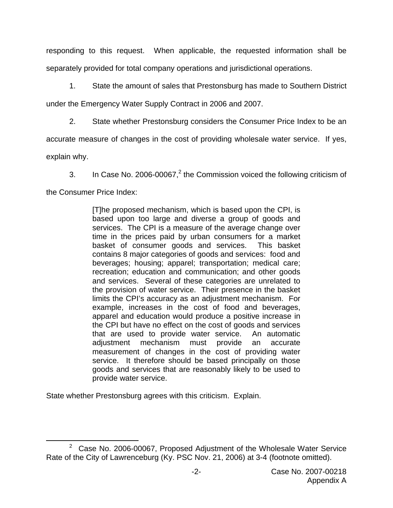responding to this request. When applicable, the requested information shall be separately provided for total company operations and jurisdictional operations.

1. State the amount of sales that Prestonsburg has made to Southern District

under the Emergency Water Supply Contract in 2006 and 2007.

2. State whether Prestonsburg considers the Consumer Price Index to be an

accurate measure of changes in the cost of providing wholesale water service. If yes,

explain why.

3. In Case No. 2006-00067, $^2$  the Commission voiced the following criticism of

the Consumer Price Index:

[T]he proposed mechanism, which is based upon the CPI, is based upon too large and diverse a group of goods and services. The CPI is a measure of the average change over time in the prices paid by urban consumers for a market basket of consumer goods and services. This basket contains 8 major categories of goods and services: food and beverages; housing; apparel; transportation; medical care; recreation; education and communication; and other goods and services. Several of these categories are unrelated to the provision of water service. Their presence in the basket limits the CPI's accuracy as an adjustment mechanism. For example, increases in the cost of food and beverages, apparel and education would produce a positive increase in the CPI but have no effect on the cost of goods and services that are used to provide water service. An automatic adjustment mechanism must provide an accurate measurement of changes in the cost of providing water service. It therefore should be based principally on those goods and services that are reasonably likely to be used to provide water service.

State whether Prestonsburg agrees with this criticism. Explain.

 $2^2$  Case No. 2006-00067, Proposed Adjustment of the Wholesale Water Service Rate of the City of Lawrenceburg (Ky. PSC Nov. 21, 2006) at 3-4 (footnote omitted).